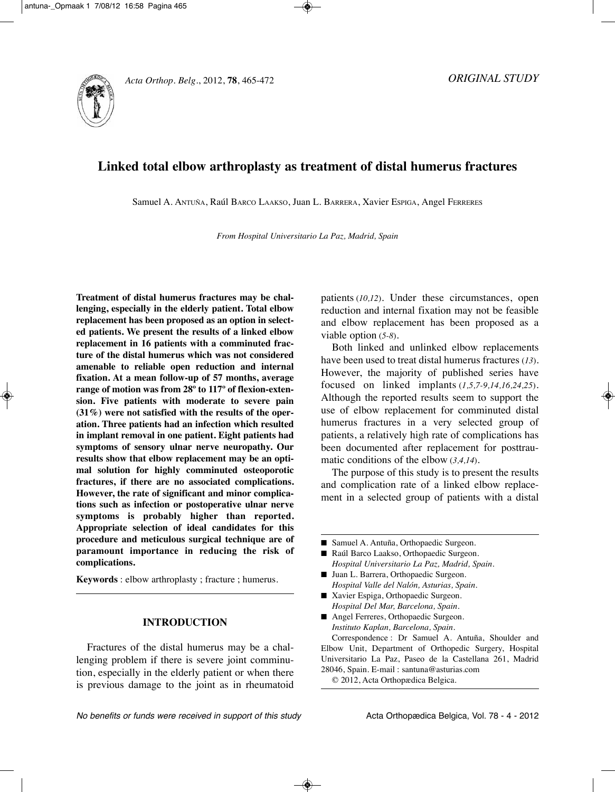

# **Linked total elbow arthroplasty as treatment of distal humerus fractures**

Samuel A. AntUñA, Raúl BARCO LAAkSO, Juan L. BARRERA, Xavier ESPigA, Angel FERRERES

*From Hospital Universitario La Paz, Madrid, Spain*

**Treatment of distal humerus fractures may be challenging, especially in the elderly patient. Total elbow replacement has been proposed as an option in selected patients. We present the results of a linked elbow replacement in 16 patients with a comminuted fracture of the distal humerus which was not considered amenable to reliable open reduction and internal fixation. At a mean follow-up of 57 months, average range of motion was from 28º to 117º of flexion-extension. Five patients with moderate to severe pain (31%) were not satisfied with the results of the operation. Three patients had an infection which resulted in implant removal in one patient. Eight patients had symptoms of sensory ulnar nerve neuropathy. Our results show that elbow replacement may be an optimal solution for highly comminuted osteoporotic fractures, if there are no associated complications. However, the rate of significant and minor complications such as infection or postoperative ulnar nerve symptoms is probably higher than reported. Appropriate selection of ideal candidates for this procedure and meticulous surgical technique are of paramount importance in reducing the risk of complications.**

**Keywords** : elbow arthroplasty ; fracture ; humerus.

# **INTRODUCTION**

Fractures of the distal humerus may be a challenging problem if there is severe joint comminution, especially in the elderly patient or when there is previous damage to the joint as in rheumatoid patients (*10,12*). Under these circumstances, open reduction and internal fixation may not be feasible and elbow replacement has been proposed as a viable option (*5-8*).

Both linked and unlinked elbow replacements have been used to treat distal humerus fractures (*13*). However, the majority of published series have focused on linked implants (*1,5,7-9,14,16,24,25*). Although the reported results seem to support the use of elbow replacement for comminuted distal humerus fractures in a very selected group of patients, a relatively high rate of complications has been documented after replacement for posttraumatic conditions of the elbow (*3,4,14*).

The purpose of this study is to present the results and complication rate of a linked elbow replacement in a selected group of patients with a distal

- Samuel A. Antuña, Orthopaedic Surgeon.
- Raúl Barco Laakso, Orthopaedic Surgeon. *Hospital Universitario La Paz, Madrid, Spain.*
- Juan L. Barrera, Orthopaedic Surgeon. *Hospital Valle del Nalón, Asturias, Spain.*
- Xavier Espiga, Orthopaedic Surgeon. *Hospital Del Mar, Barcelona, Spain.*
- Angel Ferreres, Orthopaedic Surgeon. *Instituto Kaplan, Barcelona, Spain.*

Correspondence : Dr Samuel A. Antuña, Shoulder and Elbow Unit, Department of Orthopedic Surgery, Hospital Universitario La Paz, Paseo de la Castellana 261, Madrid 28046, Spain. E-mail : santuna@asturias.com

© 2012, Acta Orthopædica Belgica.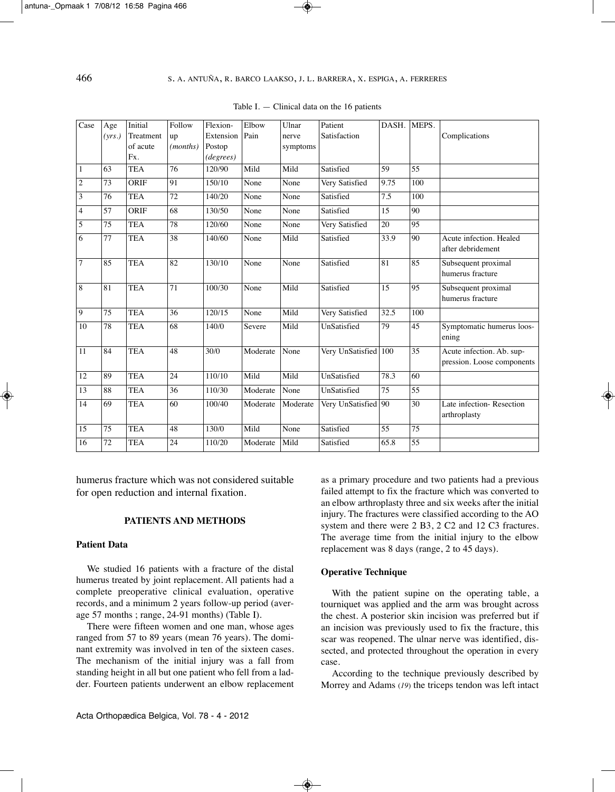| Case           | Age    | Initial    | Follow            | Flexion-  | Elbow    | Ulnar    | Patient             | DASH. | MEPS.           |                            |
|----------------|--------|------------|-------------------|-----------|----------|----------|---------------------|-------|-----------------|----------------------------|
|                | (vrs.) | Treatment  | up                | Extension | Pain     | nerve    | Satisfaction        |       |                 | Complications              |
|                |        | of acute   | ( <i>months</i> ) | Postop    |          | symptoms |                     |       |                 |                            |
|                |        | Fx.        |                   | (degrees) |          |          |                     |       |                 |                            |
| 1              | 63     | <b>TEA</b> | 76                | 120/90    | Mild     | Mild     | Satisfied           | 59    | 55              |                            |
| $\overline{2}$ | 73     | ORIF       | 91                | 150/10    | None     | None     | Very Satisfied      | 9.75  | 100             |                            |
| 3              | 76     | <b>TEA</b> | 72                | 140/20    | None     | None     | Satisfied           | 7.5   | 100             |                            |
| $\overline{4}$ | 57     | ORIF       | 68                | 130/50    | None     | None     | Satisfied           | 15    | 90              |                            |
| 5              | 75     | <b>TEA</b> | 78                | 120/60    | None     | None     | Very Satisfied      | 20    | 95              |                            |
| 6              | 77     | <b>TEA</b> | 38                | 140/60    | None     | Mild     | Satisfied           | 33.9  | 90              | Acute infection. Healed    |
|                |        |            |                   |           |          |          |                     |       |                 | after debridement          |
| $\overline{7}$ | 85     | <b>TEA</b> | 82                | 130/10    | None     | None     | Satisfied           | 81    | 85              | Subsequent proximal        |
|                |        |            |                   |           |          |          |                     |       |                 | humerus fracture           |
| 8              | 81     | <b>TEA</b> | 71                | 100/30    | None     | Mild     | Satisfied           | 15    | 95              | Subsequent proximal        |
|                |        |            |                   |           |          |          |                     |       |                 | humerus fracture           |
| 9              | 75     | <b>TEA</b> | 36                | 120/15    | None     | Mild     | Very Satisfied      | 32.5  | 100             |                            |
| 10             | 78     | <b>TEA</b> | 68                | 140/0     | Severe   | Mild     | UnSatisfied         | 79    | 45              | Symptomatic humerus loos-  |
|                |        |            |                   |           |          |          |                     |       |                 | ening                      |
| 11             | 84     | <b>TEA</b> | 48                | 30/0      | Moderate | None     | Very UnSatisfied    | 100   | 35              | Acute infection. Ab. sup-  |
|                |        |            |                   |           |          |          |                     |       |                 | pression. Loose components |
| 12             | 89     | <b>TEA</b> | 24                | 110/10    | Mild     | Mild     | UnSatisfied         | 78.3  | 60              |                            |
| 13             | 88     | <b>TEA</b> | 36                | 110/30    | Moderate | None     | UnSatisfied         | 75    | 55              |                            |
| 14             | 69     | <b>TEA</b> | 60                | 100/40    | Moderate | Moderate | Very UnSatisfied 90 |       | 30              | Late infection-Resection   |
|                |        |            |                   |           |          |          |                     |       |                 | arthroplasty               |
| 15             | 75     | <b>TEA</b> | 48                | 130/0     | Mild     | None     | Satisfied           | 55    | $\overline{75}$ |                            |
| 16             | 72     | <b>TEA</b> | 24                | 110/20    | Moderate | Mild     | Satisfied           | 65.8  | $\overline{55}$ |                            |
|                |        |            |                   |           |          |          |                     |       |                 |                            |

Table I.  $-$  Clinical data on the 16 patients

humerus fracture which was not considered suitable for open reduction and internal fixation.

#### **PATIENTS AND METHODS**

## **Patient Data**

We studied 16 patients with a fracture of the distal humerus treated by joint replacement. All patients had a complete preoperative clinical evaluation, operative records, and a minimum 2 years follow-up period (average 57 months ; range,  $24-91$  months) (Table I).

There were fifteen women and one man, whose ages ranged from 57 to 89 years (mean 76 years). The dominant extremity was involved in ten of the sixteen cases. The mechanism of the initial injury was a fall from standing height in all but one patient who fell from a ladder. Fourteen patients underwent an elbow replacement as a primary procedure and two patients had a previous failed attempt to fix the fracture which was converted to an elbow arthroplasty three and six weeks after the initial injury. The fractures were classified according to the AO system and there were 2 B3, 2 C2 and 12 C3 fractures. The average time from the initial injury to the elbow replacement was 8 days (range, 2 to 45 days).

#### **Operative Technique**

With the patient supine on the operating table, a tourniquet was applied and the arm was brought across the chest. A posterior skin incision was preferred but if an incision was previously used to fix the fracture, this scar was reopened. The ulnar nerve was identified, dissected, and protected throughout the operation in every case.

According to the technique previously described by Morrey and Adams (*19*) the triceps tendon was left intact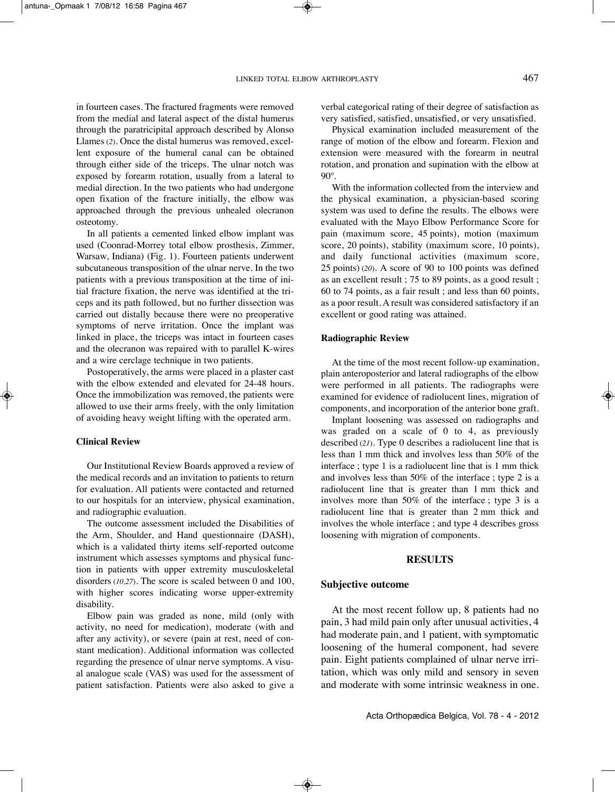in fourteen cases. The fractured fragments were removed from the medial and lateral aspect of the distal humerus through the paratricipital approach described by Alonso Llames (*2*). Once the distal humerus was removed, excellent exposure of the humeral canal can be obtained through either side of the triceps. The ulnar notch was exposed by forearm rotation, usually from a lateral to medial direction. In the two patients who had undergone open fixation of the fracture initially, the elbow was approached through the previous unhealed olecranon osteotomy.

In all patients a cemented linked elbow implant was used (Coonrad-Morrey total elbow prosthesis, Zimmer, Warsaw, indiana) (Fig. 1). Fourteen patients underwent subcutaneous transposition of the ulnar nerve. In the two patients with a previous transposition at the time of initial fracture fixation, the nerve was identified at the triceps and its path followed, but no further dissection was carried out distally because there were no preoperative symptoms of nerve irritation. Once the implant was linked in place, the triceps was intact in fourteen cases and the olecranon was repaired with to parallel k-wires and a wire cerclage technique in two patients.

Postoperatively, the arms were placed in a plaster cast with the elbow extended and elevated for 24-48 hours. Once the immobilization was removed, the patients were allowed to use their arms freely, with the only limitation of avoiding heavy weight lifting with the operated arm.

#### **Clinical Review**

Our Institutional Review Boards approved a review of the medical records and an invitation to patients to return for evaluation. All patients were contacted and returned to our hospitals for an interview, physical examination, and radiographic evaluation.

The outcome assessment included the Disabilities of the Arm, Shoulder, and Hand questionnaire (DASH), which is a validated thirty items self-reported outcome instrument which assesses symptoms and physical function in patients with upper extremity musculoskeletal disorders (*10,27*). The score is scaled between 0 and 100, with higher scores indicating worse upper-extremity disability.

Elbow pain was graded as none, mild (only with activity, no need for medication), moderate (with and after any activity), or severe (pain at rest, need of constant medication). Additional information was collected regarding the presence of ulnar nerve symptoms. A visual analogue scale (VAS) was used for the assessment of patient satisfaction. Patients were also asked to give a

verbal categorical rating of their degree of satisfaction as very satisfied, satisfied, unsatisfied, or very unsatisfied.

Physical examination included measurement of the range of motion of the elbow and forearm. Flexion and extension were measured with the forearm in neutral rotation, and pronation and supination with the elbow at 90º.

With the information collected from the interview and the physical examination, a physician-based scoring system was used to define the results. The elbows were evaluated with the Mayo Elbow Performance Score for pain (maximum score, 45 points), motion (maximum score, 20 points), stability (maximum score, 10 points), and daily functional activities (maximum score, 25 points) (*20*). A score of 90 to 100 points was defined as an excellent result ; 75 to 89 points, as a good result ; 60 to 74 points, as a fair result ; and less than 60 points, as a poor result. A result was considered satisfactory if an excellent or good rating was attained.

## **Radiographic Review**

At the time of the most recent follow-up examination, plain anteroposterior and lateral radiographs of the elbow were performed in all patients. The radiographs were examined for evidence of radiolucent lines, migration of components, and incorporation of the anterior bone graft.

Implant loosening was assessed on radiographs and was graded on a scale of 0 to 4, as previously described (21). Type 0 describes a radiolucent line that is less than 1 mm thick and involves less than 50% of the interface ; type 1 is a radiolucent line that is 1 mm thick and involves less than 50% of the interface ; type 2 is a radiolucent line that is greater than 1 mm thick and involves more than 50% of the interface ; type 3 is a radiolucent line that is greater than 2 mm thick and involves the whole interface ; and type 4 describes gross loosening with migration of components.

## **RESULTS**

#### **Subjective outcome**

At the most recent follow up, 8 patients had no pain, 3 had mild pain only after unusual activities, 4 had moderate pain, and 1 patient, with symptomatic loosening of the humeral component, had severe pain. Eight patients complained of ulnar nerve irritation, which was only mild and sensory in seven and moderate with some intrinsic weakness in one.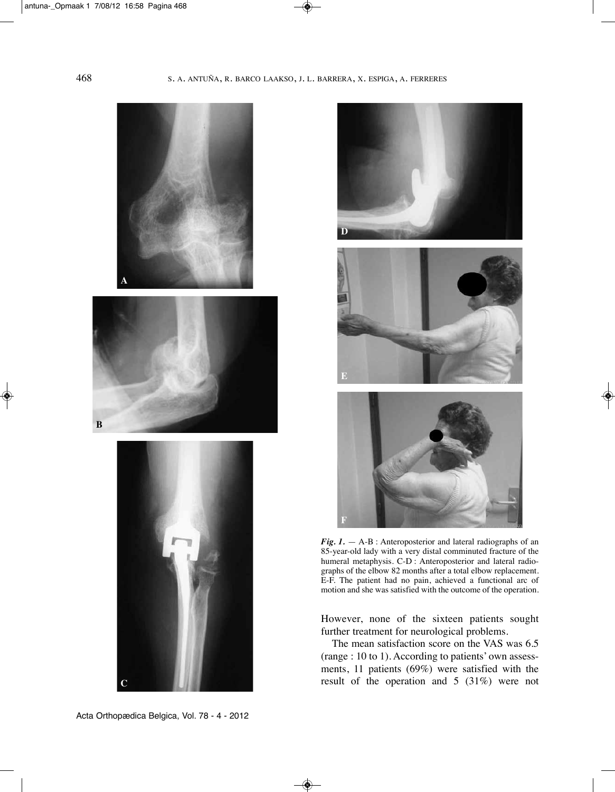





*Fig. 1.* — A-B : Anteroposterior and lateral radiographs of an 85-year-old lady with a very distal comminuted fracture of the humeral metaphysis. C-D : Anteroposterior and lateral radiographs of the elbow 82 months after a total elbow replacement. E-F. the patient had no pain, achieved a functional arc of motion and she was satisfied with the outcome of the operation.

However, none of the sixteen patients sought further treatment for neurological problems.

The mean satisfaction score on the VAS was 6.5 (range : 10 to 1). According to patients' own assessments, 11 patients (69%) were satisfied with the result of the operation and 5 (31%) were not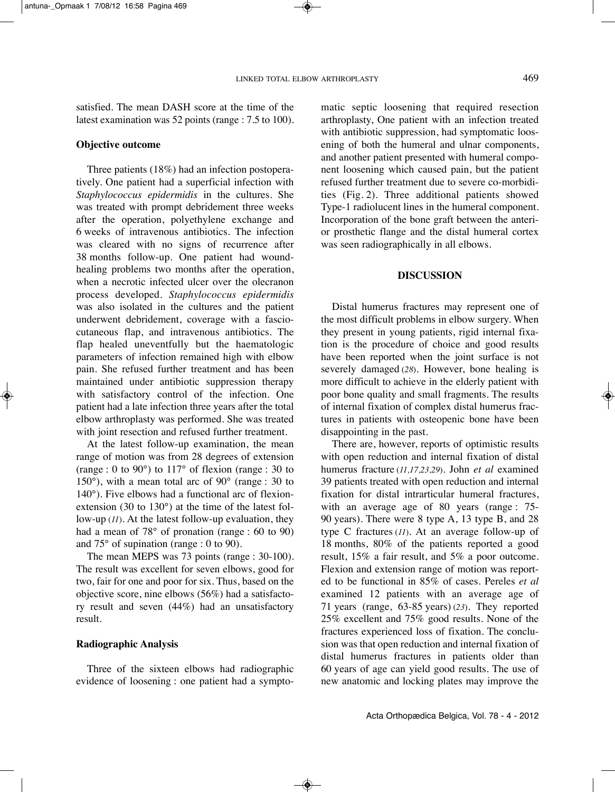Distal humerus fractures may represent one of the most difficult problems in elbow surgery. When they present in young patients, rigid internal fixation is the procedure of choice and good results have been reported when the joint surface is not severely damaged (*28*). However, bone healing is more difficult to achieve in the elderly patient with poor bone quality and small fragments. The results of internal fixation of complex distal humerus fractures in patients with osteopenic bone have been disappointing in the past.

**DISCUSSION**

was seen radiographically in all elbows.

matic septic loosening that required resection arthroplasty, One patient with an infection treated with antibiotic suppression, had symptomatic loosening of both the humeral and ulnar components, and another patient presented with humeral component loosening which caused pain, but the patient refused further treatment due to severe co-morbidities (Fig. 2). Three additional patients showed Type-1 radiolucent lines in the humeral component. Incorporation of the bone graft between the anterior prosthetic flange and the distal humeral cortex

There are, however, reports of optimistic results with open reduction and internal fixation of distal humerus fracture (*11,17,23,29*)*.* John *et al* examined 39 patients treated with open reduction and internal fixation for distal intrarticular humeral fractures, with an average age of 80 years (range : 75-90 years). There were 8 type A, 13 type B, and 28 type C fractures (*11*). At an average follow-up of 18 months, 80% of the patients reported a good result, 15% a fair result, and 5% a poor outcome. Flexion and extension range of motion was reported to be functional in 85% of cases. Pereles *et al* examined 12 patients with an average age of 71 years (range, 63-85 years) (23). They reported 25% excellent and 75% good results. None of the fractures experienced loss of fixation. The conclusion was that open reduction and internal fixation of distal humerus fractures in patients older than 60 years of age can yield good results. the use of new anatomic and locking plates may improve the

satisfied. The mean DASH score at the time of the latest examination was 52 points (range : 7.5 to 100).

# **Objective outcome**

Three patients  $(18%)$  had an infection postoperatively. One patient had a superficial infection with *Staphylococcus epidermidis* in the cultures. She was treated with prompt debridement three weeks after the operation, polyethylene exchange and 6 weeks of intravenous antibiotics. The infection was cleared with no signs of recurrence after 38 months follow-up. One patient had woundhealing problems two months after the operation, when a necrotic infected ulcer over the olecranon process developed. *Staphylococcus epidermidis* was also isolated in the cultures and the patient underwent debridement, coverage with a fasciocutaneous flap, and intravenous antibiotics. The flap healed uneventfully but the haematologic parameters of infection remained high with elbow pain. She refused further treatment and has been maintained under antibiotic suppression therapy with satisfactory control of the infection. One patient had a late infection three years after the total elbow arthroplasty was performed. She was treated with joint resection and refused further treatment.

At the latest follow-up examination, the mean range of motion was from 28 degrees of extension (range : 0 to 90 $^{\circ}$ ) to 117 $^{\circ}$  of flexion (range : 30 to 150°), with a mean total arc of 90° (range : 30 to 140°). Five elbows had a functional arc of flexionextension (30 to 130°) at the time of the latest follow-up (*11*). At the latest follow-up evaluation, they had a mean of 78° of pronation (range : 60 to 90) and 75° of supination (range : 0 to 90).

The mean MEPS was 73 points (range : 30-100). The result was excellent for seven elbows, good for two, fair for one and poor for six. Thus, based on the objective score, nine elbows (56%) had a satisfactory result and seven (44%) had an unsatisfactory result.

# **Radiographic Analysis**

Three of the sixteen elbows had radiographic evidence of loosening : one patient had a sympto-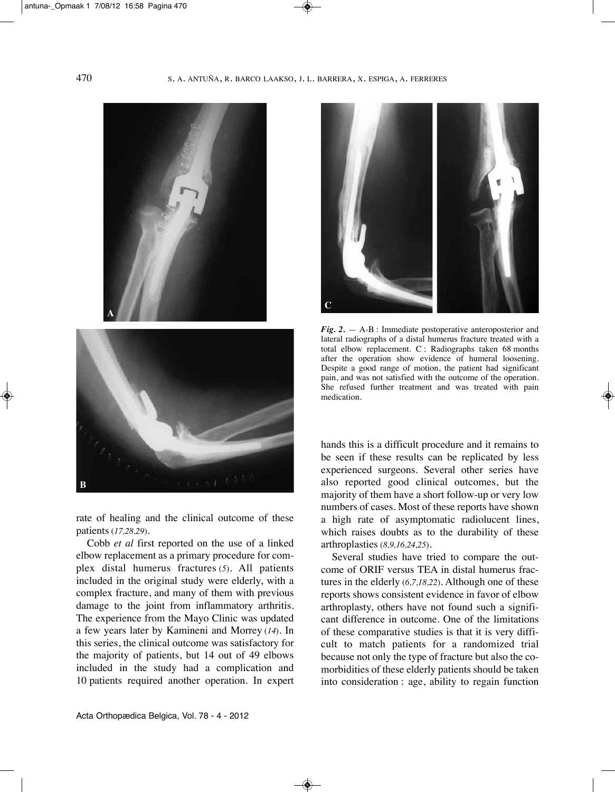

rate of healing and the clinical outcome of these patients (*17,28,29*).

Cobb *et al* first reported on the use of a linked elbow replacement as a primary procedure for complex distal humerus fractures (*5*). All patients included in the original study were elderly, with a complex fracture, and many of them with previous damage to the joint from inflammatory arthritis. The experience from the Mayo Clinic was updated a few years later by kamineni and Morrey (*14*). in this series, the clinical outcome was satisfactory for the majority of patients, but 14 out of 49 elbows included in the study had a complication and 10 patients required another operation. in expert



*Fig.* 2. — A-B : Immediate postoperative anteroposterior and lateral radiographs of a distal humerus fracture treated with a total elbow replacement. C : Radiographs taken 68 months after the operation show evidence of humeral loosening. Despite a good range of motion, the patient had significant pain, and was not satisfied with the outcome of the operation. She refused further treatment and was treated with pain medication.

hands this is a difficult procedure and it remains to be seen if these results can be replicated by less experienced surgeons. Several other series have also reported good clinical outcomes, but the majority of them have a short follow-up or very low numbers of cases. Most of these reports have shown a high rate of asymptomatic radiolucent lines, which raises doubts as to the durability of these arthroplasties (*8,9,16,24,25*).

Several studies have tried to compare the outcome of ORIF versus TEA in distal humerus fractures in the elderly (*6,7,18,22*). Although one of these reports shows consistent evidence in favor of elbow arthroplasty, others have not found such a significant difference in outcome. One of the limitations of these comparative studies is that it is very difficult to match patients for a randomized trial because not only the type of fracture but also the comorbidities of these elderly patients should be taken into consideration : age, ability to regain function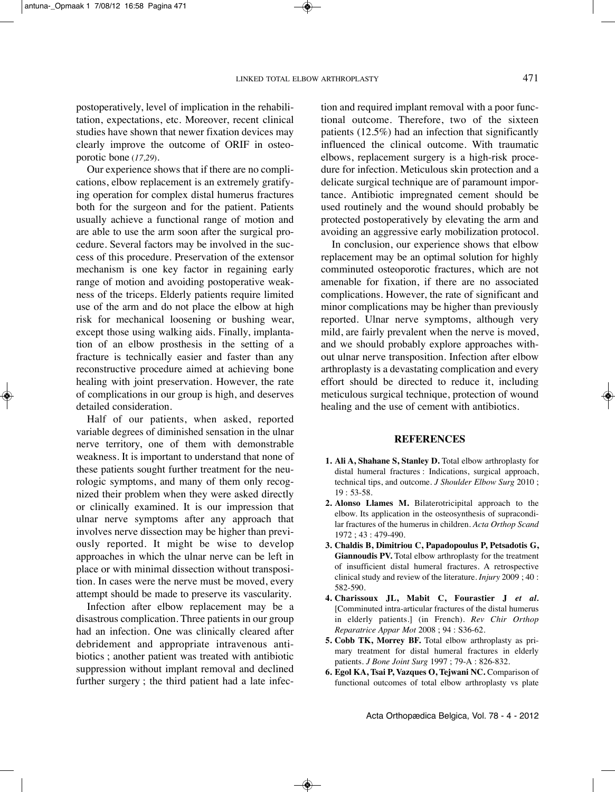postoperatively, level of implication in the rehabilitation, expectations, etc. Moreover, recent clinical studies have shown that newer fixation devices may clearly improve the outcome of ORiF in osteoporotic bone (*17,29*).

Our experience shows that if there are no complications, elbow replacement is an extremely gratifying operation for complex distal humerus fractures both for the surgeon and for the patient. Patients usually achieve a functional range of motion and are able to use the arm soon after the surgical procedure. Several factors may be involved in the success of this procedure. Preservation of the extensor mechanism is one key factor in regaining early range of motion and avoiding postoperative weakness of the triceps. Elderly patients require limited use of the arm and do not place the elbow at high risk for mechanical loosening or bushing wear, except those using walking aids. Finally, implantation of an elbow prosthesis in the setting of a fracture is technically easier and faster than any reconstructive procedure aimed at achieving bone healing with joint preservation. However, the rate of complications in our group is high, and deserves detailed consideration.

Half of our patients, when asked, reported variable degrees of diminished sensation in the ulnar nerve territory, one of them with demonstrable weakness. It is important to understand that none of these patients sought further treatment for the neurologic symptoms, and many of them only recognized their problem when they were asked directly or clinically examined. it is our impression that ulnar nerve symptoms after any approach that involves nerve dissection may be higher than previously reported. it might be wise to develop approaches in which the ulnar nerve can be left in place or with minimal dissection without transposition. In cases were the nerve must be moved, every attempt should be made to preserve its vascularity.

Infection after elbow replacement may be a disastrous complication. Three patients in our group had an infection. One was clinically cleared after debridement and appropriate intravenous antibiotics ; another patient was treated with antibiotic suppression without implant removal and declined further surgery ; the third patient had a late infection and required implant removal with a poor functional outcome. Therefore, two of the sixteen patients (12.5%) had an infection that significantly influenced the clinical outcome. With traumatic elbows, replacement surgery is a high-risk procedure for infection. Meticulous skin protection and a delicate surgical technique are of paramount importance. Antibiotic impregnated cement should be used routinely and the wound should probably be protected postoperatively by elevating the arm and avoiding an aggressive early mobilization protocol.

In conclusion, our experience shows that elbow replacement may be an optimal solution for highly comminuted osteoporotic fractures, which are not amenable for fixation, if there are no associated complications. However, the rate of significant and minor complications may be higher than previously reported. Ulnar nerve symptoms, although very mild, are fairly prevalent when the nerve is moved, and we should probably explore approaches without ulnar nerve transposition. Infection after elbow arthroplasty is a devastating complication and every effort should be directed to reduce it, including meticulous surgical technique, protection of wound healing and the use of cement with antibiotics.

## **REFERENCES**

- **1. Ali A, Shahane S, Stanley D.** total elbow arthroplasty for distal humeral fractures : Indications, surgical approach, technical tips, and outcome. *J Shoulder Elbow Surg* 2010 ; 19 : 53-58.
- **2. Alonso Llames M.** Bilaterotricipital approach to the elbow. Its application in the osteosynthesis of supracondilar fractures of the humerus in children. *Acta Orthop Scand* 1972 ; 43 : 479-490.
- **3. Chaldis B, Dimitriou C, Papadopoulus P, Petsadotis G, Giannoudis PV.** Total elbow arthroplasty for the treatment of insufficient distal humeral fractures. A retrospective clinical study and review of the literature. *Injury* 2009 ; 40 : 582-590.
- **4. Charissoux JL, Mabit C, Fourastier J** *et al.* [Comminuted intra-articular fractures of the distal humerus in elderly patients.] (in French). *Rev Chir Orthop Reparatrice Appar Mot* 2008 ; 94 : S36-62.
- **5. Cobb TK, Morrey BF.** total elbow arthroplasty as primary treatment for distal humeral fractures in elderly patients. *J Bone Joint Surg* 1997 ; 79-A : 826-832.
- **6. Egol KA, Tsai P, Vazques O, Tejwani NC.** Comparison of functional outcomes of total elbow arthroplasty vs plate